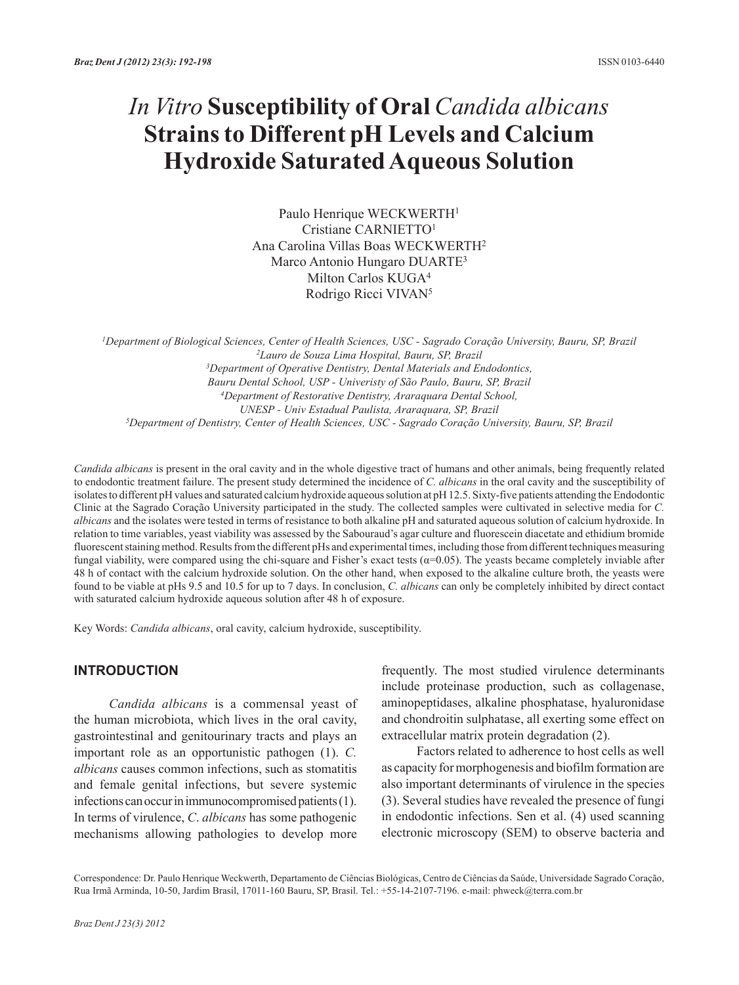# *In Vitro* **Susceptibility of Oral** *Candida albicans*  **Strains to Different pH Levels and Calcium Hydroxide Saturated Aqueous Solution**

Paulo Henrique WECKWERTH<sup>1</sup> Cristiane CARNIETTO1 Ana Carolina Villas Boas WECKWERTH2 Marco Antonio Hungaro DUARTE3 Milton Carlos KUGA4 Rodrigo Ricci VIVAN5

*1Department of Biological Sciences, Center of Health Sciences, USC - Sagrado Coração University, Bauru, SP, Brazil 2Lauro de Souza Lima Hospital, Bauru, SP, Brazil 3Department of Operative Dentistry, Dental Materials and Endodontics, Bauru Dental School, USP - Univeristy of São Paulo, Bauru, SP, Brazil 4Department of Restorative Dentistry, Araraquara Dental School, UNESP - Univ Estadual Paulista, Araraquara, SP, Brazil 5Department of Dentistry, Center of Health Sciences, USC - Sagrado Coração University, Bauru, SP, Brazil*

*Candida albicans* is present in the oral cavity and in the whole digestive tract of humans and other animals, being frequently related to endodontic treatment failure. The present study determined the incidence of *C. albicans* in the oral cavity and the susceptibility of isolates to different pH values and saturated calcium hydroxide aqueous solution at pH 12.5. Sixty-five patients attending the Endodontic Clinic at the Sagrado Coração University participated in the study. The collected samples were cultivated in selective media for *C. albicans* and the isolates were tested in terms of resistance to both alkaline pH and saturated aqueous solution of calcium hydroxide. In relation to time variables, yeast viability was assessed by the Sabouraud's agar culture and fluorescein diacetate and ethidium bromide fluorescent staining method. Results from the different pHs and experimental times, including those from different techniques measuring fungal viability, were compared using the chi-square and Fisher's exact tests  $(\alpha=0.05)$ . The yeasts became completely inviable after 48 h of contact with the calcium hydroxide solution. On the other hand, when exposed to the alkaline culture broth, the yeasts were found to be viable at pHs 9.5 and 10.5 for up to 7 days. In conclusion, *C. albicans* can only be completely inhibited by direct contact with saturated calcium hydroxide aqueous solution after 48 h of exposure.

Key Words: *Candida albicans*, oral cavity, calcium hydroxide, susceptibility.

## **INTRODUCTION**

*Candida albicans* is a commensal yeast of the human microbiota, which lives in the oral cavity, gastrointestinal and genitourinary tracts and plays an important role as an opportunistic pathogen (1). *C. albicans* causes common infections, such as stomatitis and female genital infections, but severe systemic infections can occur in immunocompromised patients (1). In terms of virulence, *C*. *albicans* has some pathogenic mechanisms allowing pathologies to develop more frequently. The most studied virulence determinants include proteinase production, such as collagenase, aminopeptidases, alkaline phosphatase, hyaluronidase and chondroitin sulphatase, all exerting some effect on extracellular matrix protein degradation (2).

Factors related to adherence to host cells as well as capacity for morphogenesis and biofilm formation are also important determinants of virulence in the species (3). Several studies have revealed the presence of fungi in endodontic infections. Sen et al. (4) used scanning electronic microscopy (SEM) to observe bacteria and

Correspondence: Dr. Paulo Henrique Weckwerth, Departamento de Ciências Biológicas, Centro de Ciências da Saúde, Universidade Sagrado Coração, Rua Irmã Arminda, 10-50, Jardim Brasil, 17011-160 Bauru, SP, Brasil. Tel.: +55-14-2107-7196. e-mail: phweck@terra.com.br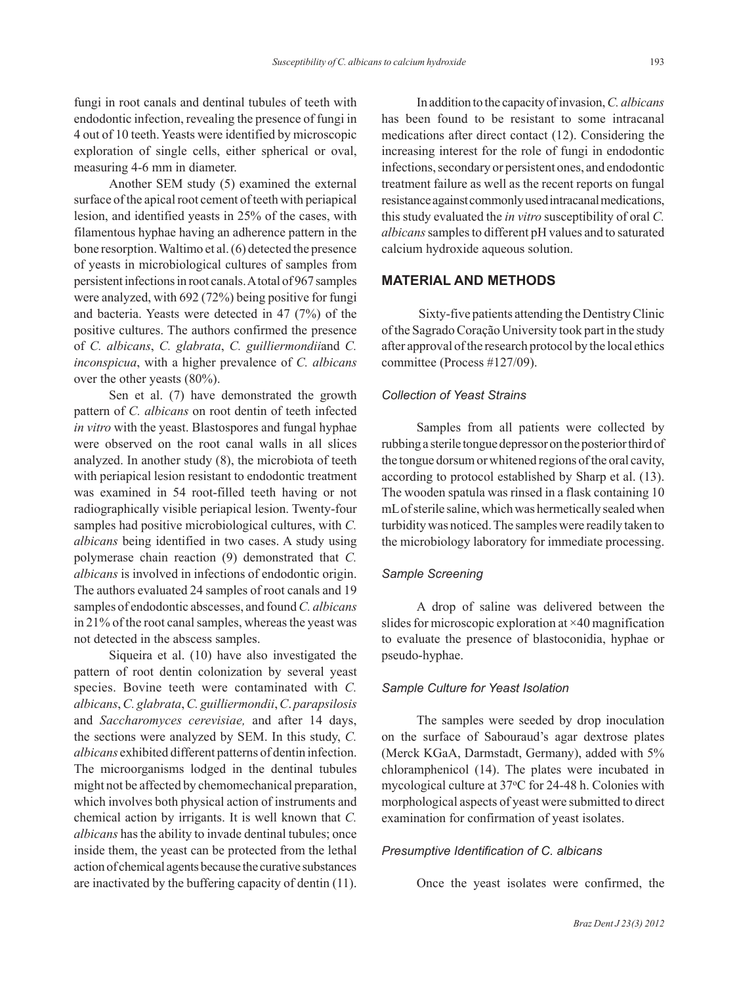fungi in root canals and dentinal tubules of teeth with endodontic infection, revealing the presence of fungi in 4 out of 10 teeth. Yeasts were identified by microscopic exploration of single cells, either spherical or oval, measuring 4-6 mm in diameter.

Another SEM study (5) examined the external surface of the apical root cement of teeth with periapical lesion, and identified yeasts in 25% of the cases, with filamentous hyphae having an adherence pattern in the bone resorption. Waltimo et al. (6) detected the presence of yeasts in microbiological cultures of samples from persistent infections in root canals. A total of 967 samples were analyzed, with 692 (72%) being positive for fungi and bacteria. Yeasts were detected in 47 (7%) of the positive cultures. The authors confirmed the presence of *C. albicans*, *C. glabrata*, *C. guilliermondii*and *C. inconspicua*, with a higher prevalence of *C. albicans* over the other yeasts (80%).

Sen et al. (7) have demonstrated the growth pattern of *C. albicans* on root dentin of teeth infected *in vitro* with the yeast. Blastospores and fungal hyphae were observed on the root canal walls in all slices analyzed. In another study (8), the microbiota of teeth with periapical lesion resistant to endodontic treatment was examined in 54 root-filled teeth having or not radiographically visible periapical lesion. Twenty-four samples had positive microbiological cultures, with *C. albicans* being identified in two cases. A study using polymerase chain reaction (9) demonstrated that *C. albicans* is involved in infections of endodontic origin. The authors evaluated 24 samples of root canals and 19 samples of endodontic abscesses, and found *C. albicans* in 21% of the root canal samples, whereas the yeast was not detected in the abscess samples.

Siqueira et al. (10) have also investigated the pattern of root dentin colonization by several yeast species. Bovine teeth were contaminated with *C. albicans*, *C. glabrata*, *C. guilliermondii*, *C*. *parapsilosis* and *Saccharomyces cerevisiae,* and after 14 days, the sections were analyzed by SEM. In this study, *C. albicans* exhibited different patterns of dentin infection. The microorganisms lodged in the dentinal tubules might not be affected by chemomechanical preparation, which involves both physical action of instruments and chemical action by irrigants. It is well known that *C. albicans* has the ability to invade dentinal tubules; once inside them, the yeast can be protected from the lethal action of chemical agents because the curative substances are inactivated by the buffering capacity of dentin (11).

In addition to the capacity of invasion, *C. albicans* has been found to be resistant to some intracanal medications after direct contact (12). Considering the increasing interest for the role of fungi in endodontic infections, secondary or persistent ones, and endodontic treatment failure as well as the recent reports on fungal resistance against commonly used intracanal medications, this study evaluated the *in vitro* susceptibility of oral *C. albicans* samples to different pH values and to saturated calcium hydroxide aqueous solution.

# **MATERIAL AND METHODS**

 Sixty-five patients attending the Dentistry Clinic of the Sagrado Coração University took part in the study after approval of the research protocol by the local ethics committee (Process #127/09).

### *Collection of Yeast Strains*

Samples from all patients were collected by rubbing a sterile tongue depressor on the posterior third of the tongue dorsum or whitened regions of the oral cavity, according to protocol established by Sharp et al. (13). The wooden spatula was rinsed in a flask containing 10 mL of sterile saline, which was hermetically sealed when turbidity was noticed. The samples were readily taken to the microbiology laboratory for immediate processing.

#### *Sample Screening*

A drop of saline was delivered between the slides for microscopic exploration at ×40 magnification to evaluate the presence of blastoconidia, hyphae or pseudo-hyphae.

#### *Sample Culture for Yeast Isolation*

The samples were seeded by drop inoculation on the surface of Sabouraud's agar dextrose plates (Merck KGaA, Darmstadt, Germany), added with 5% chloramphenicol (14). The plates were incubated in mycological culture at 37°C for 24-48 h. Colonies with morphological aspects of yeast were submitted to direct examination for confirmation of yeast isolates.

#### *Presumptive Identification of C. albicans*

Once the yeast isolates were confirmed, the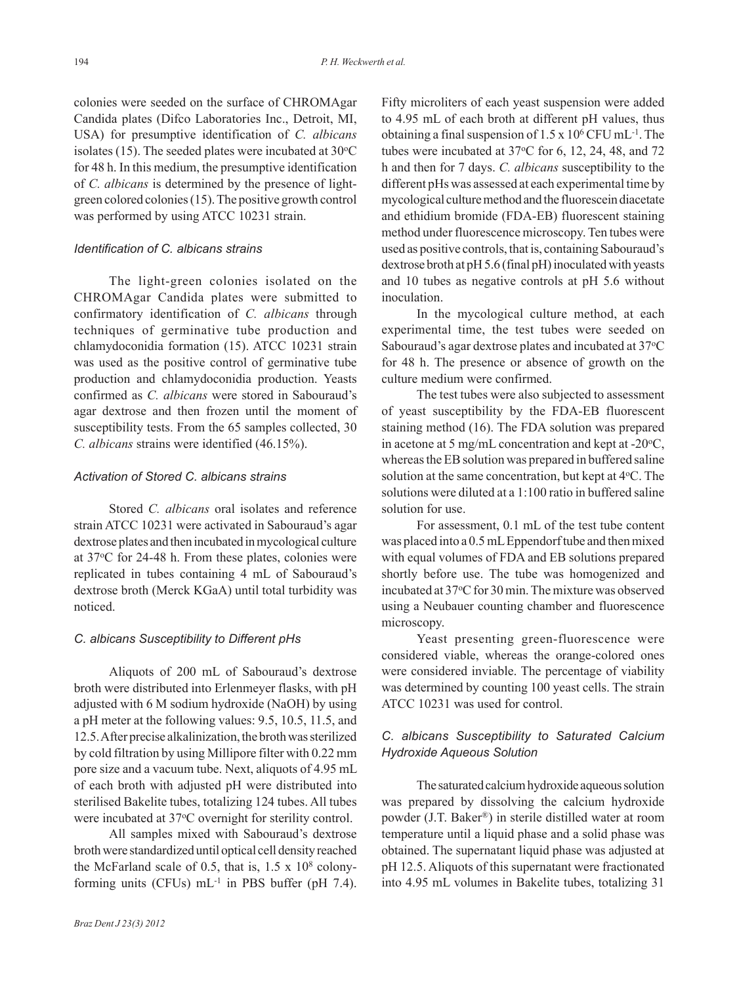colonies were seeded on the surface of CHROMAgar Candida plates (Difco Laboratories Inc., Detroit, MI, USA) for presumptive identification of *C. albicans*  isolates (15). The seeded plates were incubated at  $30^{\circ}$ C for 48 h. In this medium, the presumptive identification of *C. albicans* is determined by the presence of lightgreen colored colonies (15). The positive growth control was performed by using ATCC 10231 strain.

## *Identification of C. albicans strains*

The light-green colonies isolated on the CHROMAgar Candida plates were submitted to confirmatory identification of *C. albicans* through techniques of germinative tube production and chlamydoconidia formation (15). ATCC 10231 strain was used as the positive control of germinative tube production and chlamydoconidia production. Yeasts confirmed as *C. albicans* were stored in Sabouraud's agar dextrose and then frozen until the moment of susceptibility tests. From the 65 samples collected, 30 *C. albicans* strains were identified (46.15%).

## *Activation of Stored C. albicans strains*

Stored *C. albicans* oral isolates and reference strain ATCC 10231 were activated in Sabouraud's agar dextrose plates and then incubated in mycological culture at 37oC for 24-48 h. From these plates, colonies were replicated in tubes containing 4 mL of Sabouraud's dextrose broth (Merck KGaA) until total turbidity was noticed.

#### *C. albicans Susceptibility to Different pHs*

Aliquots of 200 mL of Sabouraud's dextrose broth were distributed into Erlenmeyer flasks, with pH adjusted with 6 M sodium hydroxide (NaOH) by using a pH meter at the following values: 9.5, 10.5, 11.5, and 12.5. After precise alkalinization, the broth was sterilized by cold filtration by using Millipore filter with 0.22 mm pore size and a vacuum tube. Next, aliquots of 4.95 mL of each broth with adjusted pH were distributed into sterilised Bakelite tubes, totalizing 124 tubes. All tubes were incubated at 37°C overnight for sterility control.

All samples mixed with Sabouraud's dextrose broth were standardized until optical cell density reached the McFarland scale of 0.5, that is,  $1.5 \times 10^8$  colonyforming units (CFUs) mL-1 in PBS buffer (pH 7.4). Fifty microliters of each yeast suspension were added to 4.95 mL of each broth at different pH values, thus obtaining a final suspension of  $1.5 \times 10^6$  CFU mL<sup>-1</sup>. The tubes were incubated at  $37^{\circ}$ C for 6, 12, 24, 48, and 72 h and then for 7 days. *C. albicans* susceptibility to the different pHs was assessed at each experimental time by mycological culture method and the fluorescein diacetate and ethidium bromide (FDA-EB) fluorescent staining method under fluorescence microscopy. Ten tubes were used as positive controls, that is, containing Sabouraud's dextrose broth at pH 5.6 (final pH) inoculated with yeasts and 10 tubes as negative controls at pH 5.6 without inoculation.

In the mycological culture method, at each experimental time, the test tubes were seeded on Sabouraud's agar dextrose plates and incubated at 37°C for 48 h. The presence or absence of growth on the culture medium were confirmed.

The test tubes were also subjected to assessment of yeast susceptibility by the FDA-EB fluorescent staining method (16). The FDA solution was prepared in acetone at 5 mg/mL concentration and kept at -20 $\mathrm{^{\circ}C},$ whereas the EB solution was prepared in buffered saline solution at the same concentration, but kept at 4 °C. The solutions were diluted at a 1:100 ratio in buffered saline solution for use.

For assessment, 0.1 mL of the test tube content was placed into a 0.5 mL Eppendorf tube and then mixed with equal volumes of FDA and EB solutions prepared shortly before use. The tube was homogenized and incubated at 37<sup>o</sup>C for 30 min. The mixture was observed using a Neubauer counting chamber and fluorescence microscopy.

Yeast presenting green-fluorescence were considered viable, whereas the orange-colored ones were considered inviable. The percentage of viability was determined by counting 100 yeast cells. The strain ATCC 10231 was used for control.

# *C. albicans Susceptibility to Saturated Calcium Hydroxide Aqueous Solution*

The saturated calcium hydroxide aqueous solution was prepared by dissolving the calcium hydroxide powder (J.T. Baker®) in sterile distilled water at room temperature until a liquid phase and a solid phase was obtained. The supernatant liquid phase was adjusted at pH 12.5. Aliquots of this supernatant were fractionated into 4.95 mL volumes in Bakelite tubes, totalizing 31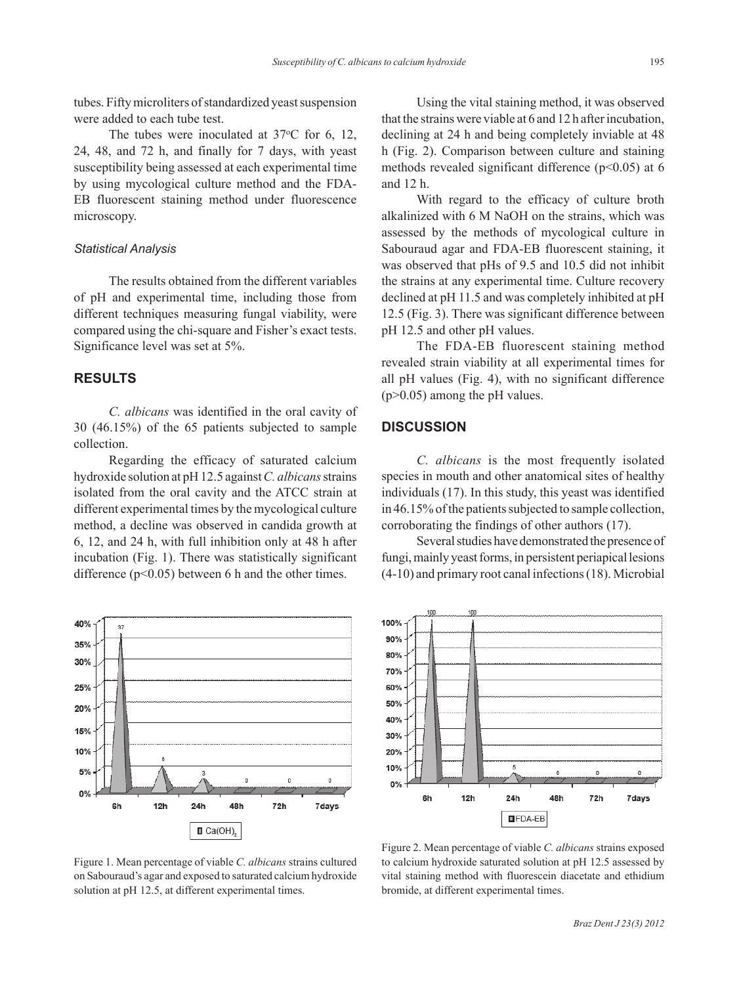tubes. Fifty microliters of standardized yeast suspension were added to each tube test.

The tubes were inoculated at  $37^{\circ}$ C for 6, 12, 24, 48, and 72 h, and finally for 7 days, with yeast susceptibility being assessed at each experimental time by using mycological culture method and the FDA-EB fluorescent staining method under fluorescence microscopy.

#### *Statistical Analysis*

The results obtained from the different variables of pH and experimental time, including those from different techniques measuring fungal viability, were compared using the chi-square and Fisher's exact tests. Significance level was set at 5%.

## **RESULTS**

*C. albicans* was identified in the oral cavity of 30 (46.15%) of the 65 patients subjected to sample collection.

Regarding the efficacy of saturated calcium hydroxide solution at pH 12.5 against *C. albicans* strains isolated from the oral cavity and the ATCC strain at different experimental times by the mycological culture method, a decline was observed in candida growth at 6, 12, and 24 h, with full inhibition only at 48 h after incubation (Fig. 1). There was statistically significant difference  $(p<0.05)$  between 6 h and the other times.



Figure 1. Mean percentage of viable *C. albicans* strains cultured on Sabouraud's agar and exposed to saturated calcium hydroxide solution at pH 12.5, at different experimental times.

Using the vital staining method, it was observed that the strains were viable at 6 and 12 h after incubation, declining at 24 h and being completely inviable at 48 h (Fig. 2). Comparison between culture and staining methods revealed significant difference ( $p$ <0.05) at 6 and 12 h.

With regard to the efficacy of culture broth alkalinized with 6 M NaOH on the strains, which was assessed by the methods of mycological culture in Sabouraud agar and FDA-EB fluorescent staining, it was observed that pHs of 9.5 and 10.5 did not inhibit the strains at any experimental time. Culture recovery declined at pH 11.5 and was completely inhibited at pH 12.5 (Fig. 3). There was significant difference between pH 12.5 and other pH values.

The FDA-EB fluorescent staining method revealed strain viability at all experimental times for all pH values (Fig. 4), with no significant difference (p>0.05) among the pH values.

## **DISCUSSION**

*C. albicans* is the most frequently isolated species in mouth and other anatomical sites of healthy individuals (17). In this study, this yeast was identified in 46.15% of the patients subjected to sample collection, corroborating the findings of other authors (17).

Several studies have demonstrated the presence of fungi, mainly yeast forms, in persistent periapical lesions (4-10) and primary root canal infections (18). Microbial



Figure 2. Mean percentage of viable *C. albicans* strains exposed to calcium hydroxide saturated solution at pH 12.5 assessed by vital staining method with fluorescein diacetate and ethidium bromide, at different experimental times.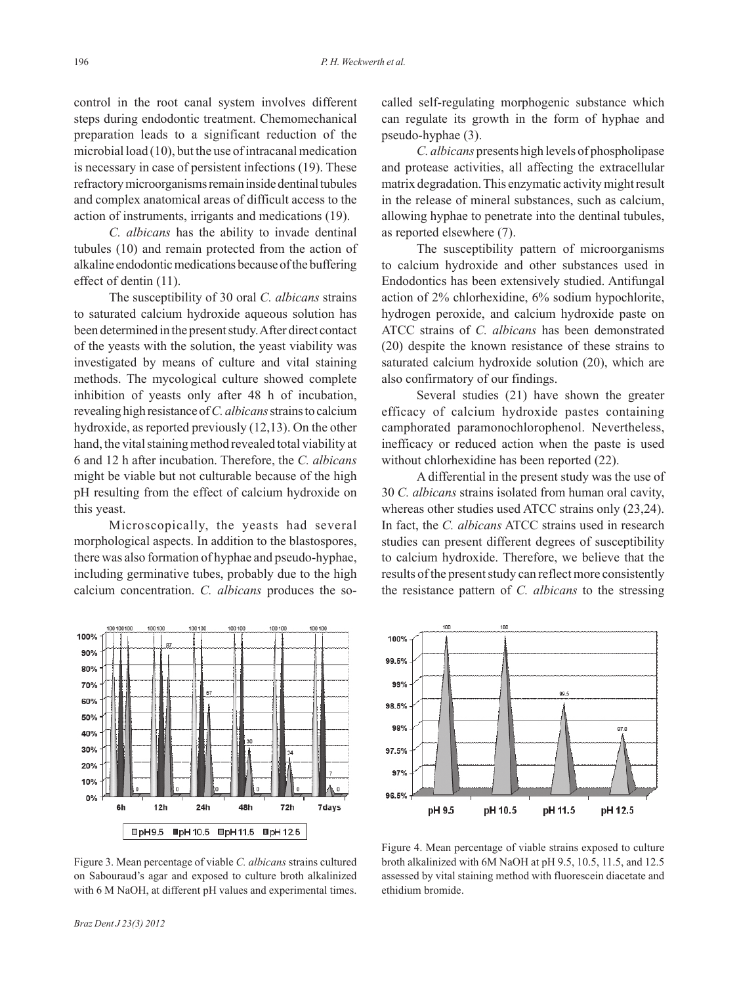control in the root canal system involves different steps during endodontic treatment. Chemomechanical preparation leads to a significant reduction of the microbial load (10), but the use of intracanal medication is necessary in case of persistent infections (19). These refractory microorganisms remain inside dentinal tubules and complex anatomical areas of difficult access to the action of instruments, irrigants and medications (19).

*C. albicans* has the ability to invade dentinal tubules (10) and remain protected from the action of alkaline endodontic medications because of the buffering effect of dentin (11).

The susceptibility of 30 oral *C. albicans* strains to saturated calcium hydroxide aqueous solution has been determined in the present study. After direct contact of the yeasts with the solution, the yeast viability was investigated by means of culture and vital staining methods. The mycological culture showed complete inhibition of yeasts only after 48 h of incubation, revealing high resistance of *C. albicans* strains to calcium hydroxide, as reported previously (12,13). On the other hand, the vital staining method revealed total viability at 6 and 12 h after incubation. Therefore, the *C. albicans* might be viable but not culturable because of the high pH resulting from the effect of calcium hydroxide on this yeast.

Microscopically, the yeasts had several morphological aspects. In addition to the blastospores, there was also formation of hyphae and pseudo-hyphae, including germinative tubes, probably due to the high calcium concentration. *C. albicans* produces the socalled self-regulating morphogenic substance which can regulate its growth in the form of hyphae and pseudo-hyphae (3).

*C. albicans* presents high levels of phospholipase and protease activities, all affecting the extracellular matrix degradation. This enzymatic activity might result in the release of mineral substances, such as calcium, allowing hyphae to penetrate into the dentinal tubules, as reported elsewhere (7).

The susceptibility pattern of microorganisms to calcium hydroxide and other substances used in Endodontics has been extensively studied. Antifungal action of 2% chlorhexidine, 6% sodium hypochlorite, hydrogen peroxide, and calcium hydroxide paste on ATCC strains of *C. albicans* has been demonstrated (20) despite the known resistance of these strains to saturated calcium hydroxide solution (20), which are also confirmatory of our findings.

Several studies (21) have shown the greater efficacy of calcium hydroxide pastes containing camphorated paramonochlorophenol. Nevertheless, inefficacy or reduced action when the paste is used without chlorhexidine has been reported (22).

A differential in the present study was the use of 30 *C. albicans* strains isolated from human oral cavity, whereas other studies used ATCC strains only (23,24). In fact, the *C. albicans* ATCC strains used in research studies can present different degrees of susceptibility to calcium hydroxide. Therefore, we believe that the results of the present study can reflect more consistently the resistance pattern of *C. albicans* to the stressing



100% 99.5%  $99%$ 99.5 98.5% 98%  $079$ 97.5% 97% 96.5% pH 9.5 pH 10.5 pH 11.5 pH 12.5

Figure 3. Mean percentage of viable *C. albicans* strains cultured on Sabouraud's agar and exposed to culture broth alkalinized with 6 M NaOH, at different pH values and experimental times.

Figure 4. Mean percentage of viable strains exposed to culture broth alkalinized with 6M NaOH at pH 9.5, 10.5, 11.5, and 12.5 assessed by vital staining method with fluorescein diacetate and ethidium bromide.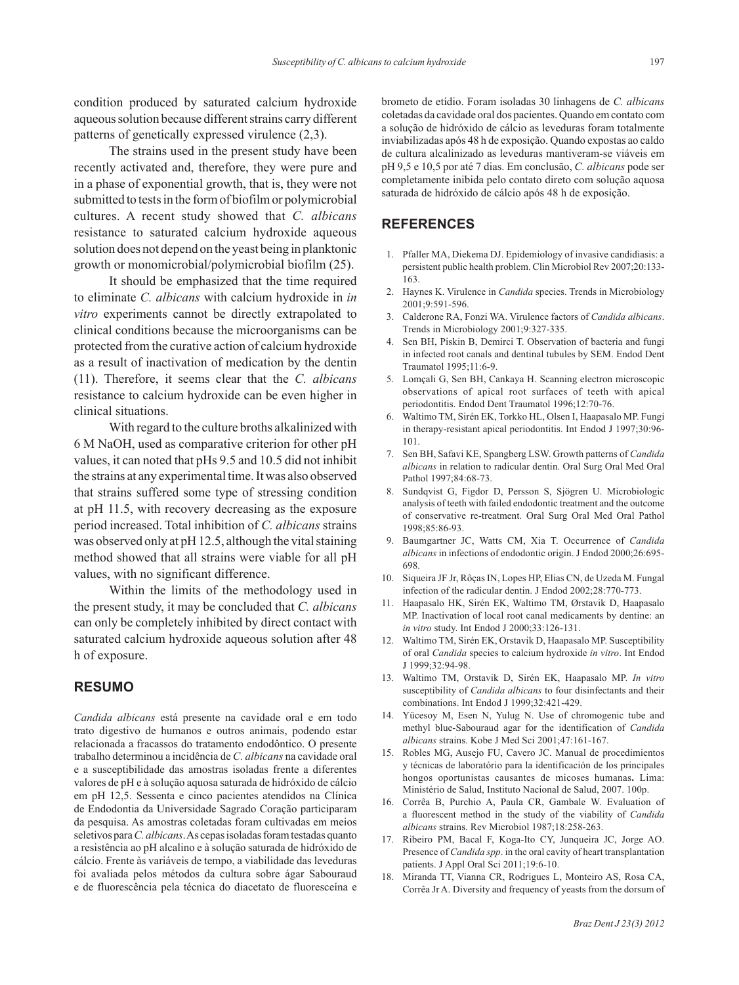condition produced by saturated calcium hydroxide aqueous solution because different strains carry different patterns of genetically expressed virulence (2,3).

The strains used in the present study have been recently activated and, therefore, they were pure and in a phase of exponential growth, that is, they were not submitted to tests in the form of biofilm or polymicrobial cultures. A recent study showed that *C. albicans* resistance to saturated calcium hydroxide aqueous solution does not depend on the yeast being in planktonic growth or monomicrobial/polymicrobial biofilm (25).

It should be emphasized that the time required to eliminate *C. albicans* with calcium hydroxide in *in vitro* experiments cannot be directly extrapolated to clinical conditions because the microorganisms can be protected from the curative action of calcium hydroxide as a result of inactivation of medication by the dentin (11). Therefore, it seems clear that the *C. albicans* resistance to calcium hydroxide can be even higher in clinical situations.

With regard to the culture broths alkalinized with 6 M NaOH, used as comparative criterion for other pH values, it can noted that pHs 9.5 and 10.5 did not inhibit the strains at any experimental time. It was also observed that strains suffered some type of stressing condition at pH 11.5, with recovery decreasing as the exposure period increased. Total inhibition of *C. albicans* strains was observed only at pH 12.5, although the vital staining method showed that all strains were viable for all pH values, with no significant difference.

Within the limits of the methodology used in the present study, it may be concluded that *C. albicans* can only be completely inhibited by direct contact with saturated calcium hydroxide aqueous solution after 48 h of exposure.

# **RESUMO**

*Candida albicans* está presente na cavidade oral e em todo trato digestivo de humanos e outros animais, podendo estar relacionada a fracassos do tratamento endodôntico. O presente trabalho determinou a incidência de *C. albicans* na cavidade oral e a susceptibilidade das amostras isoladas frente a diferentes valores de pH e à solução aquosa saturada de hidróxido de cálcio em pH 12,5. Sessenta e cinco pacientes atendidos na Clínica de Endodontia da Universidade Sagrado Coração participaram da pesquisa. As amostras coletadas foram cultivadas em meios seletivos para *C. albicans*. As cepas isoladas foram testadas quanto a resistência ao pH alcalino e à solução saturada de hidróxido de cálcio. Frente às variáveis de tempo, a viabilidade das leveduras foi avaliada pelos métodos da cultura sobre ágar Sabouraud e de fluorescência pela técnica do diacetato de fluoresceína e

brometo de etídio. Foram isoladas 30 linhagens de *C. albicans*  coletadas da cavidade oral dos pacientes. Quando em contato com a solução de hidróxido de cálcio as leveduras foram totalmente inviabilizadas após 48 h de exposição. Quando expostas ao caldo de cultura alcalinizado as leveduras mantiveram-se viáveis em pH 9,5 e 10,5 por até 7 dias. Em conclusão, *C. albicans* pode ser completamente inibida pelo contato direto com solução aquosa saturada de hidróxido de cálcio após 48 h de exposição.

# **REFERENCES**

- 1. Pfaller MA, Diekema DJ. Epidemiology of invasive candidiasis: a persistent public health problem. Clin Microbiol Rev 2007;20:133- 163.
- 2. Haynes K. Virulence in *Candida* species. Trends in Microbiology 2001;9:591-596.
- 3. Calderone RA, Fonzi WA. Virulence factors of *Candida albicans*. Trends in Microbiology 2001;9:327-335.
- 4. Sen BH, Piskin B, Demirci T. Observation of bacteria and fungi in infected root canals and dentinal tubules by SEM. Endod Dent Traumatol 1995;11:6-9.
- 5. Lomçali G, Sen BH, Cankaya H. Scanning electron microscopic observations of apical root surfaces of teeth with apical periodontitis. Endod Dent Traumatol 1996;12:70-76.
- 6. Waltimo TM, Sirén EK, Torkko HL, Olsen I, Haapasalo MP. Fungi in therapy-resistant apical periodontitis. Int Endod J 1997;30:96- 101.
- 7. Sen BH, Safavi KE, Spangberg LSW. Growth patterns of *Candida albicans* in relation to radicular dentin. Oral Surg Oral Med Oral Pathol 1997;84:68-73.
- 8. Sundqvist G, Figdor D, Persson S, Sjögren U. Microbiologic analysis of teeth with failed endodontic treatment and the outcome of conservative re-treatment. Oral Surg Oral Med Oral Pathol 1998;85:86-93.
- 9. Baumgartner JC, Watts CM, Xia T. Occurrence of *Candida albicans* in infections of endodontic origin. J Endod 2000;26:695- 698.
- 10. Siqueira JF Jr, Rôças IN, Lopes HP, Elias CN, de Uzeda M. Fungal infection of the radicular dentin. J Endod 2002;28:770-773.
- 11. Haapasalo HK, Sirén EK, Waltimo TM, Ørstavik D, Haapasalo MP. Inactivation of local root canal medicaments by dentine: an *in vitro* study. Int Endod J 2000;33:126-131.
- 12. Waltimo TM, Sirén EK, Orstavik D, Haapasalo MP. Susceptibility of oral *Candida* species to calcium hydroxide *in vitro*. Int Endod J 1999;32:94-98.
- 13. Waltimo TM, Orstavik D, Sirén EK, Haapasalo MP. *In vitro* susceptibility of *Candida albicans* to four disinfectants and their combinations. Int Endod J 1999;32:421-429.
- 14. Yücesoy M, Esen N, Yulug N. Use of chromogenic tube and methyl blue-Sabouraud agar for the identification of *Candida albicans* strains. Kobe J Med Sci 2001;47:161-167.
- 15. Robles MG, Ausejo FU, Cavero JC. Manual de procedimientos y técnicas de laboratório para la identificación de los principales hongos oportunistas causantes de micoses humanas**.** Lima: Ministério de Salud, Instituto Nacional de Salud, 2007. 100p.
- 16. Corrêa B, Purchio A, Paula CR, Gambale W. Evaluation of a fluorescent method in the study of the viability of *Candida albicans* strains. Rev Microbiol 1987;18:258-263.
- 17. Ribeiro PM, Bacal F, Koga-Ito CY, Junqueira JC, Jorge AO. Presence of *Candida spp*. in the oral cavity of heart transplantation patients. J Appl Oral Sci 2011;19:6-10.
- 18. Miranda TT, Vianna CR, Rodrigues L, Monteiro AS, Rosa CA, Corrêa Jr A. Diversity and frequency of yeasts from the dorsum of